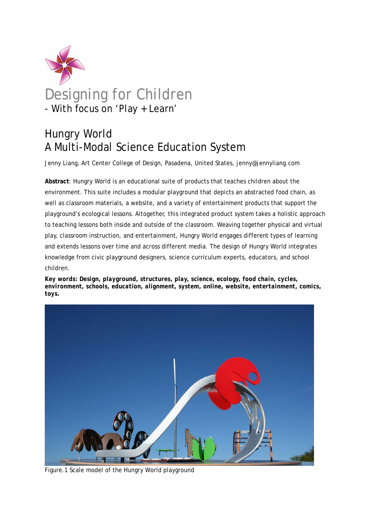

# Designing for Children - With focus on 'Play + Learn'

## Hungry World A Multi-Modal Science Education System

Jenny Liang, Art Center College of Design, Pasadena, United States, jenny@jennyliang.com

**Abstract**: Hungry World is an educational suite of products that teaches children about the environment. This suite includes a modular playground that depicts an abstracted food chain, as well as classroom materials, a website, and a variety of entertainment products that support the playground's ecological lessons. Altogether, this integrated product system takes a holistic approach to teaching lessons both inside and outside of the classroom. Weaving together physical and virtual play, classroom instruction, and entertainment, Hungry World engages different types of learning and extends lessons over time and across different media. The design of Hungry World integrates knowledge from civic playground designers, science curriculum experts, educators, and school children.

*Key words: Design, playground, structures, play, science, ecology, food chain, cycles, environment, schools, education, alignment, system, online, website, entertainment, comics, toys.* 



Figure.1 Scale model of the Hungry World playground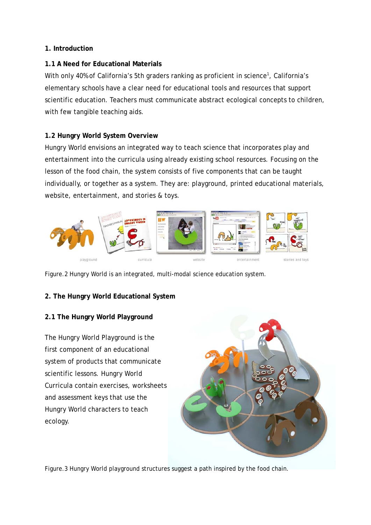#### **1. Introduction**

#### **1.1 A Need for Educational Materials**

With only 40% of California's 5th graders ranking as proficient in science<sup>1</sup>, California's elementary schools have a clear need for educational tools and resources that support scientific education. Teachers must communicate abstract ecological concepts to children, with few tangible teaching aids.

## **1.2 Hungry World System Overview**

Hungry World envisions an integrated way to teach science that incorporates play and entertainment into the curricula using already existing school resources. Focusing on the lesson of the food chain, the system consists of five components that can be taught individually, or together as a system. They are: playground, printed educational materials, website, entertainment, and stories & toys.



Figure.2 Hungry World is an integrated, multi-modal science education system.

## **2. The Hungry World Educational System**

## **2.1 The Hungry World Playground**

The Hungry World Playground is the first component of an educational system of products that communicate scientific lessons. Hungry World Curricula contain exercises, worksheets and assessment keys that use the Hungry World characters to teach ecology.



Figure.3 Hungry World playground structures suggest a path inspired by the food chain.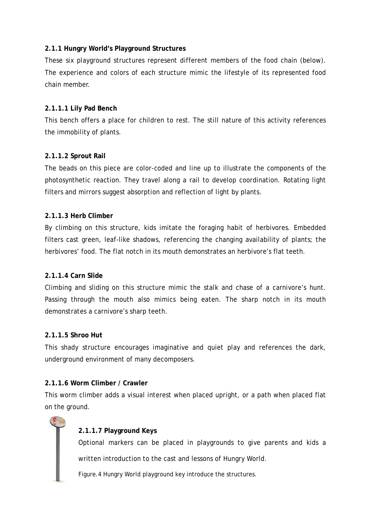#### **2.1.1 Hungry World's Playground Structures**

These six playground structures represent different members of the food chain (below). The experience and colors of each structure mimic the lifestyle of its represented food chain member.

#### **2.1.1.1 Lily Pad Bench**

This bench offers a place for children to rest. The still nature of this activity references the immobility of plants.

#### **2.1.1.2 Sprout Rail**

The beads on this piece are color-coded and line up to illustrate the components of the photosynthetic reaction. They travel along a rail to develop coordination. Rotating light filters and mirrors suggest absorption and reflection of light by plants.

#### **2.1.1.3 Herb Climber**

By climbing on this structure, kids imitate the foraging habit of herbivores. Embedded filters cast green, leaf-like shadows, referencing the changing availability of plants; the herbivores' food. The flat notch in its mouth demonstrates an herbivore's flat teeth.

#### **2.1.1.4 Carn Slide**

Climbing and sliding on this structure mimic the stalk and chase of a carnivore's hunt. Passing through the mouth also mimics being eaten. The sharp notch in its mouth demonstrates a carnivore's sharp teeth.

#### **2.1.1.5 Shroo Hut**

This shady structure encourages imaginative and quiet play and references the dark, underground environment of many decomposers.

#### **2.1.1.6 Worm Climber / Crawler**

This worm climber adds a visual interest when placed upright, or a path when placed flat on the ground.

#### **2.1.1.7 Playground Keys**

Optional markers can be placed in playgrounds to give parents and kids a written introduction to the cast and lessons of Hungry World.

Figure.4 Hungry World playground key introduce the structures.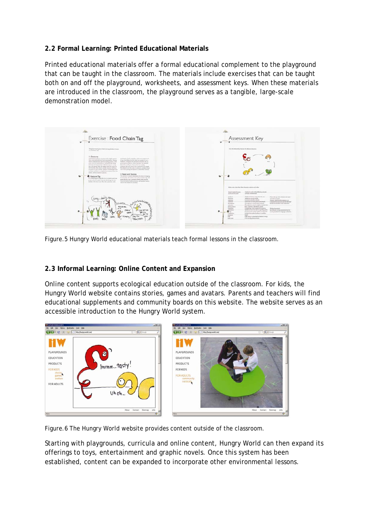### **2.2 Formal Learning: Printed Educational Materials**

Printed educational materials offer a formal educational complement to the playground that can be taught in the classroom. The materials include exercises that can be taught both on and off the playground, worksheets, and assessment keys. When these materials are introduced in the classroom, the playground serves as a tangible, large-scale demonstration model.



Figure.5 Hungry World educational materials teach formal lessons in the classroom.

#### **2.3 Informal Learning: Online Content and Expansion**

Online content supports ecological education outside of the classroom. For kids, the Hungry World website contains stories, games and avatars. Parents and teachers will find educational supplements and community boards on this website. The website serves as an accessible introduction to the Hungry World system.



Figure.6 The Hungry World website provides content outside of the classroom.

Starting with playgrounds, curricula and online content, Hungry World can then expand its offerings to toys, entertainment and graphic novels. Once this system has been established, content can be expanded to incorporate other environmental lessons.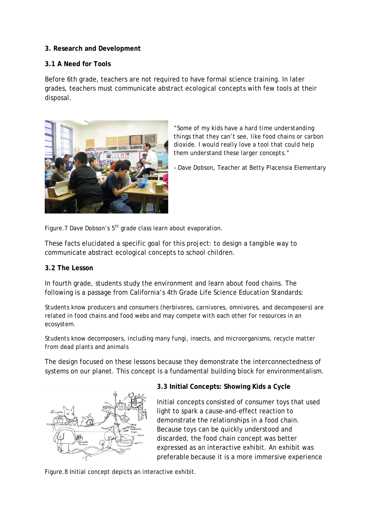#### **3. Research and Development**

#### **3.1 A Need for Tools**

Before 6th grade, teachers are not required to have formal science training. In later grades, teachers must communicate abstract ecological concepts with few tools at their disposal.



*"Some of my kids have a hard time understanding things that they can't see, like food chains or carbon dioxide. I would really love a tool that could help them understand these larger concepts."* 

– Dave Dobson, Teacher at Betty Placensia Elementary

Figure.7 Dave Dobson's  $5<sup>th</sup>$  grade class learn about evaporation.

These facts elucidated a specific goal for this project: to design a tangible way to communicate abstract ecological concepts to school children.

#### **3.2 The Lesson**

In fourth grade, students study the environment and learn about food chains. The following is a passage from California's 4th Grade Life Science Education Standards:

*Students know producers and consumers (herbivores, carnivores, omnivores, and decomposers) are related in food chains and food webs and may compete with each other for resources in an ecosystem.* 

*Students know decomposers, including many fungi, insects, and microorganisms, recycle matter from dead plants and animals* 

The design focused on these lessons because they demonstrate the interconnectedness of systems on our planet. This concept is a fundamental building block for environmentalism.



## **3.3 Initial Concepts: Showing Kids a Cycle**

Initial concepts consisted of consumer toys that used light to spark a cause-and-effect reaction to demonstrate the relationships in a food chain. Because toys can be quickly understood and discarded, the food chain concept was better expressed as an interactive exhibit. An exhibit was preferable because it is a more immersive experience

Figure.8 Initial concept depicts an interactive exhibit.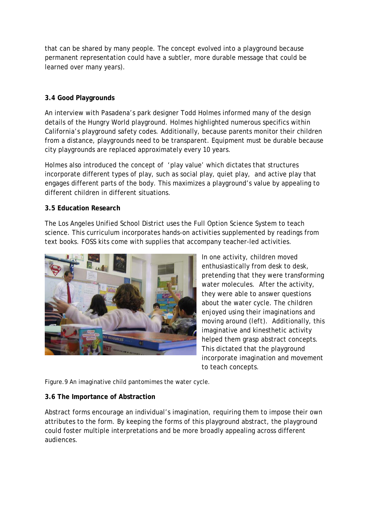that can be shared by many people. The concept evolved into a playground because permanent representation could have a subtler, more durable message that could be learned over many years*)*.

## **3.4 Good Playgrounds**

An interview with Pasadena's park designer Todd Holmes informed many of the design details of the Hungry World playground. Holmes highlighted numerous specifics within California's playground safety codes. Additionally, because parents monitor their children from a distance, playgrounds need to be transparent. Equipment must be durable because city playgrounds are replaced approximately every 10 years.

Holmes also introduced the concept of 'play value' which dictates that structures incorporate different types of play, such as social play, quiet play, and active play that engages different parts of the body. This maximizes a playground's value by appealing to different children in different situations.

#### **3.5 Education Research**

The Los Angeles Unified School District uses the Full Option Science System to teach science. This curriculum incorporates hands-on activities supplemented by readings from text books. FOSS kits come with supplies that accompany teacher-led activities.



In one activity, children moved enthusiastically from desk to desk, pretending that they were transforming water molecules. After the activity, they were able to answer questions about the water cycle. The children enjoyed using their imaginations and moving around *(left)*. Additionally, this imaginative and kinesthetic activity helped them grasp abstract concepts. This dictated that the playground incorporate imagination and movement to teach concepts.

Figure.9 An imaginative child pantomimes the water cycle.

#### **3.6 The Importance of Abstraction**

Abstract forms encourage an individual's imagination, requiring them to impose their own attributes to the form. By keeping the forms of this playground abstract, the playground could foster multiple interpretations and be more broadly appealing across different audiences.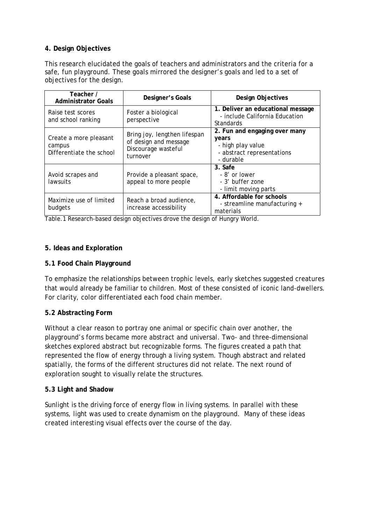#### **4. Design Objectives**

This research elucidated the goals of teachers and administrators and the criteria for a safe, fun playground. These goals mirrored the designer's goals and led to a set of objectives for the design.

| Teacher /<br><b>Administrator Goals</b>                      | Designer's Goals                                                                         | Design Objectives                                                                                      |
|--------------------------------------------------------------|------------------------------------------------------------------------------------------|--------------------------------------------------------------------------------------------------------|
| Raise test scores<br>and school ranking                      | Foster a biological<br>perspective                                                       | 1. Deliver an educational message<br>- include California Education<br><b>Standards</b>                |
| Create a more pleasant<br>campus<br>Differentiate the school | Bring joy, lengthen lifespan<br>of design and message<br>Discourage wasteful<br>turnover | 2. Fun and engaging over many<br>years<br>- high play value<br>- abstract representations<br>- durable |
| Avoid scrapes and<br>lawsuits                                | Provide a pleasant space,<br>appeal to more people                                       | 3. Safe<br>- 8' or lower<br>- 3' buffer zone<br>- limit moving parts                                   |
| Maximize use of limited<br>budgets                           | Reach a broad audience,<br>increase accessibility                                        | 4. Affordable for schools<br>- streamline manufacturing +<br>materials                                 |

Table.1 Research-based design objectives drove the design of Hungry World.

#### **5. Ideas and Exploration**

#### **5.1 Food Chain Playground**

To emphasize the relationships between trophic levels, early sketches suggested creatures that would already be familiar to children. Most of these consisted of iconic land-dwellers. For clarity, color differentiated each food chain member.

#### **5.2 Abstracting Form**

Without a clear reason to portray one animal or specific chain over another, the playground's forms became more abstract and universal. Two- and three-dimensional sketches explored abstract but recognizable forms. The figures created a path that represented the flow of energy through a living system. Though abstract and related spatially, the forms of the different structures did not relate. The next round of exploration sought to visually relate the structures.

#### **5.3 Light and Shadow**

Sunlight is the driving force of energy flow in living systems. In parallel with these systems, light was used to create dynamism on the playground. Many of these ideas created interesting visual effects over the course of the day.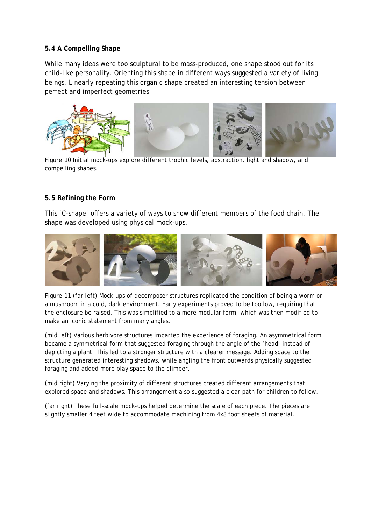#### **5.4 A Compelling Shape**

While many ideas were too sculptural to be mass-produced, one shape stood out for its child-like personality. Orienting this shape in different ways suggested a variety of living beings. Linearly repeating this organic shape created an interesting tension between perfect and imperfect geometries.



Figure.10 Initial mock-ups explore different trophic levels, abstraction, light and shadow, and compelling shapes.

#### **5.5 Refining the Form**

This 'C-shape' offers a variety of ways to show different members of the food chain. The shape was developed using physical mock-ups.



Figure.11 (far left) Mock-ups of decomposer structures replicated the condition of being a worm or a mushroom in a cold, dark environment. Early experiments proved to be too low, requiring that the enclosure be raised. This was simplified to a more modular form, which was then modified to make an iconic statement from many angles.

(mid left) Various herbivore structures imparted the experience of foraging. An asymmetrical form became a symmetrical form that suggested foraging through the angle of the 'head' instead of depicting a plant. This led to a stronger structure with a clearer message. Adding space to the structure generated interesting shadows, while angling the front outwards physically suggested foraging and added more play space to the climber.

(mid right) Varying the proximity of different structures created different arrangements that explored space and shadows. This arrangement also suggested a clear path for children to follow.

(far right) These full-scale mock-ups helped determine the scale of each piece. The pieces are slightly smaller 4 feet wide to accommodate machining from 4x8 foot sheets of material.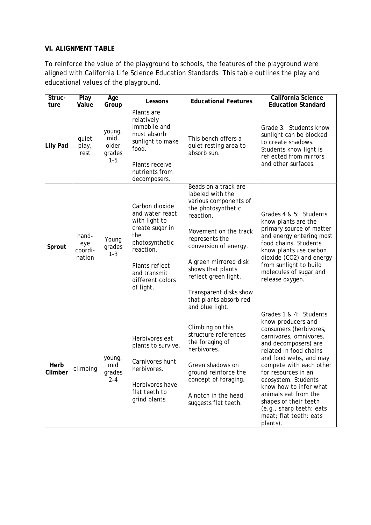#### **VI. ALIGNMENT TABLE**

To reinforce the value of the playground to schools, the features of the playground were aligned with California Life Science Education Standards. This table outlines the play and educational values of the playground.

| Struc-<br>ture  | Play<br>Value                     | Age<br>Group                                 | Lessons                                                                                                                                                                        | <b>Educational Features</b>                                                                                                                                                                                                                                                                                           | California Science<br><b>Education Standard</b>                                                                                                                                                                                                                                                                                                                                                    |
|-----------------|-----------------------------------|----------------------------------------------|--------------------------------------------------------------------------------------------------------------------------------------------------------------------------------|-----------------------------------------------------------------------------------------------------------------------------------------------------------------------------------------------------------------------------------------------------------------------------------------------------------------------|----------------------------------------------------------------------------------------------------------------------------------------------------------------------------------------------------------------------------------------------------------------------------------------------------------------------------------------------------------------------------------------------------|
| Lily Pad        | quiet<br>play,<br>rest            | young,<br>mid,<br>older<br>grades<br>$1 - 5$ | Plants are<br>relatively<br>immobile and<br>must absorb<br>sunlight to make<br>food.<br>Plants receive<br>nutrients from<br>decomposers.                                       | This bench offers a<br>quiet resting area to<br>absorb sun.                                                                                                                                                                                                                                                           | Grade 3: Students know<br>sunlight can be blocked<br>to create shadows.<br>Students know light is<br>reflected from mirrors<br>and other surfaces.                                                                                                                                                                                                                                                 |
| Sprout          | hand-<br>eye<br>coordi-<br>nation | Young<br>grades<br>$1 - 3$                   | Carbon dioxide<br>and water react<br>with light to<br>create sugar in<br>the<br>photosynthetic<br>reaction.<br>Plants reflect<br>and transmit<br>different colors<br>of light. | Beads on a track are<br>labeled with the<br>various components of<br>the photosynthetic<br>reaction.<br>Movement on the track<br>represents the<br>conversion of energy.<br>A green mirrored disk<br>shows that plants<br>reflect green light.<br>Transparent disks show<br>that plants absorb red<br>and blue light. | Grades 4 & 5: Students<br>know plants are the<br>primary source of matter<br>and energy entering most<br>food chains. Students<br>know plants use carbon<br>dioxide (CO2) and energy<br>from sunlight to build<br>molecules of sugar and<br>release oxygen.                                                                                                                                        |
| Herb<br>Climber | climbing                          | young,<br>mid<br>grades<br>$2 - 4$           | Herbivores eat<br>plants to survive.<br>Carnivores hunt<br>herbivores.<br>Herbivores have<br>flat teeth to<br>grind plants                                                     | Climbing on this<br>structure references<br>the foraging of<br>herbivores.<br>Green shadows on<br>ground reinforce the<br>concept of foraging.<br>A notch in the head<br>suggests flat teeth.                                                                                                                         | Grades 1 & 4: Students<br>know producers and<br>consumers (herbivores,<br>carnivores, omnivores,<br>and decomposers) are<br>related in food chains<br>and food webs, and may<br>compete with each other<br>for resources in an<br>ecosystem. Students<br>know how to infer what<br>animals eat from the<br>shapes of their teeth<br>(e.g., sharp teeth: eats<br>meat; flat teeth: eats<br>plants). |